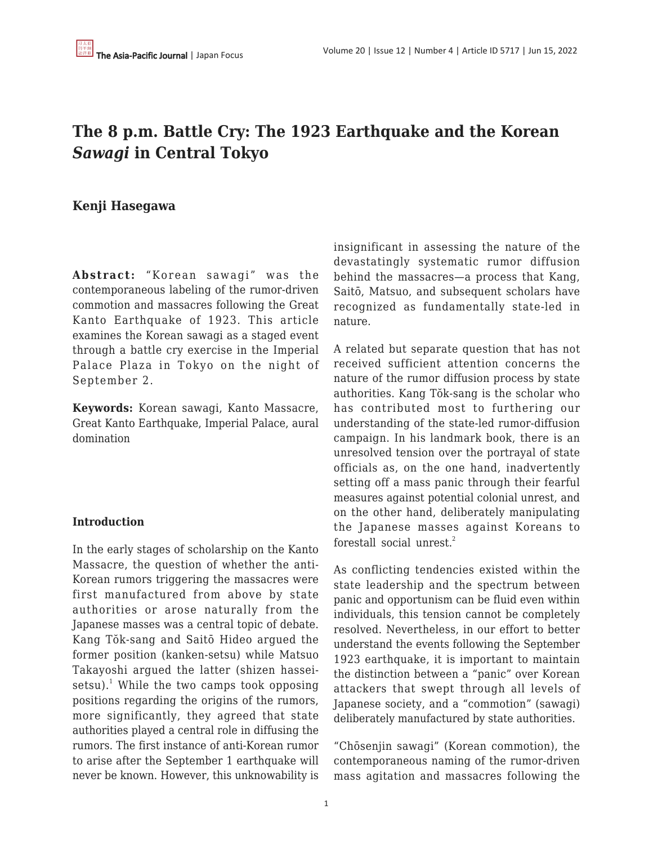# **The 8 p.m. Battle Cry: The 1923 Earthquake and the Korean** *Sawagi* **in Central Tokyo**

# **Kenji Hasegawa**

Abstract: "Korean sawagi" was the contemporaneous labeling of the rumor-driven commotion and massacres following the Great Kanto Earthquake of 1923. This article examines the Korean sawagi as a staged event through a battle cry exercise in the Imperial Palace Plaza in Tokyo on the night of September 2.

**Keywords:** Korean sawagi, Kanto Massacre, Great Kanto Earthquake, Imperial Palace, aural domination

## **Introduction**

In the early stages of scholarship on the Kanto Massacre, the question of whether the anti-Korean rumors triggering the massacres were first manufactured from above by state authorities or arose naturally from the Japanese masses was a central topic of debate. Kang Tŏk-sang and Saitō Hideo argued the former position (kanken-setsu) while Matsuo Takayoshi argued the latter (shizen hasseisetsu). $^1$  While the two camps took opposing positions regarding the origins of the rumors, more significantly, they agreed that state authorities played a central role in diffusing the rumors. The first instance of anti-Korean rumor to arise after the September 1 earthquake will never be known. However, this unknowability is insignificant in assessing the nature of the devastatingly systematic rumor diffusion behind the massacres—a process that Kang, Saitō, Matsuo, and subsequent scholars have recognized as fundamentally state-led in nature.

A related but separate question that has not received sufficient attention concerns the nature of the rumor diffusion process by state authorities. Kang Tŏk-sang is the scholar who has contributed most to furthering our understanding of the state-led rumor-diffusion campaign. In his landmark book, there is an unresolved tension over the portrayal of state officials as, on the one hand, inadvertently setting off a mass panic through their fearful measures against potential colonial unrest, and on the other hand, deliberately manipulating the Japanese masses against Koreans to forestall social unrest.<sup>2</sup>

As conflicting tendencies existed within the state leadership and the spectrum between panic and opportunism can be fluid even within individuals, this tension cannot be completely resolved. Nevertheless, in our effort to better understand the events following the September 1923 earthquake, it is important to maintain the distinction between a "panic" over Korean attackers that swept through all levels of Japanese society, and a "commotion" (sawagi) deliberately manufactured by state authorities.

"Chōsenjin sawagi" (Korean commotion), the contemporaneous naming of the rumor-driven mass agitation and massacres following the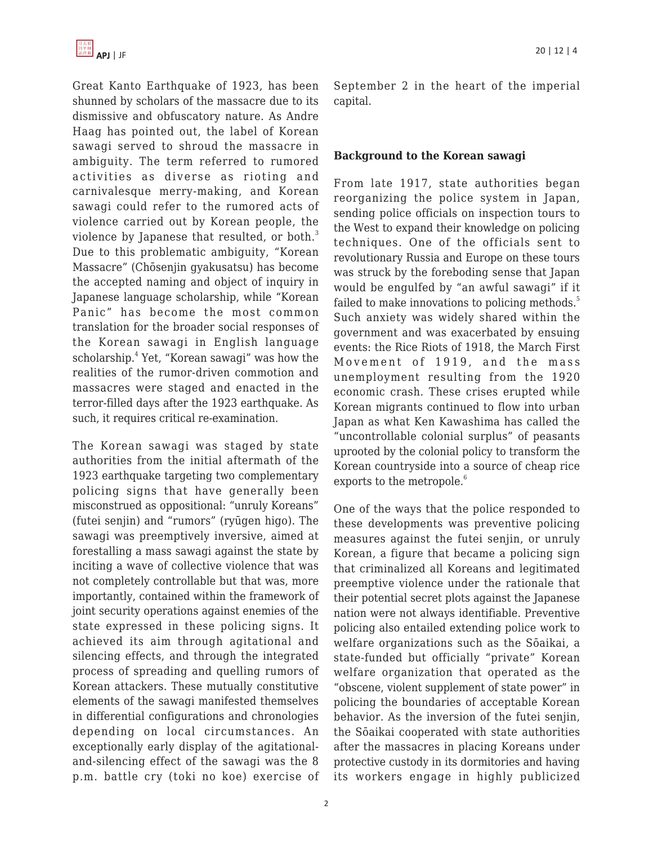

Great Kanto Earthquake of 1923, has been shunned by scholars of the massacre due to its dismissive and obfuscatory nature. As Andre Haag has pointed out, the label of Korean sawagi served to shroud the massacre in ambiguity. The term referred to rumored activities as diverse as rioting and carnivalesque merry-making, and Korean sawagi could refer to the rumored acts of violence carried out by Korean people, the violence by Japanese that resulted, or both.<sup>3</sup> Due to this problematic ambiguity, "Korean Massacre" (Chōsenjin gyakusatsu) has become the accepted naming and object of inquiry in Japanese language scholarship, while "Korean Panic" has become the most common translation for the broader social responses of the Korean sawagi in English language scholarship.<sup>4</sup> Yet, "Korean sawagi" was how the realities of the rumor-driven commotion and massacres were staged and enacted in the terror-filled days after the 1923 earthquake. As such, it requires critical re-examination.

The Korean sawagi was staged by state authorities from the initial aftermath of the 1923 earthquake targeting two complementary policing signs that have generally been misconstrued as oppositional: "unruly Koreans" (futei senjin) and "rumors" (ryūgen higo). The sawagi was preemptively inversive, aimed at forestalling a mass sawagi against the state by inciting a wave of collective violence that was not completely controllable but that was, more importantly, contained within the framework of joint security operations against enemies of the state expressed in these policing signs. It achieved its aim through agitational and silencing effects, and through the integrated process of spreading and quelling rumors of Korean attackers. These mutually constitutive elements of the sawagi manifested themselves in differential configurations and chronologies depending on local circumstances. An exceptionally early display of the agitationaland-silencing effect of the sawagi was the 8 p.m. battle cry (toki no koe) exercise of September 2 in the heart of the imperial capital.

#### **Background to the Korean sawagi**

From late 1917, state authorities began reorganizing the police system in Japan, sending police officials on inspection tours to the West to expand their knowledge on policing techniques. One of the officials sent to revolutionary Russia and Europe on these tours was struck by the foreboding sense that Japan would be engulfed by "an awful sawagi" if it failed to make innovations to policing methods.<sup>5</sup> Such anxiety was widely shared within the government and was exacerbated by ensuing events: the Rice Riots of 1918, the March First Movement of 1919, and the mass unemployment resulting from the 1920 economic crash. These crises erupted while Korean migrants continued to flow into urban Japan as what Ken Kawashima has called the "uncontrollable colonial surplus" of peasants uprooted by the colonial policy to transform the Korean countryside into a source of cheap rice exports to the metropole.<sup>6</sup>

One of the ways that the police responded to these developments was preventive policing measures against the futei senjin, or unruly Korean, a figure that became a policing sign that criminalized all Koreans and legitimated preemptive violence under the rationale that their potential secret plots against the Japanese nation were not always identifiable. Preventive policing also entailed extending police work to welfare organizations such as the Sōaikai, a state-funded but officially "private" Korean welfare organization that operated as the "obscene, violent supplement of state power" in policing the boundaries of acceptable Korean behavior. As the inversion of the futei senjin, the Sōaikai cooperated with state authorities after the massacres in placing Koreans under protective custody in its dormitories and having its workers engage in highly publicized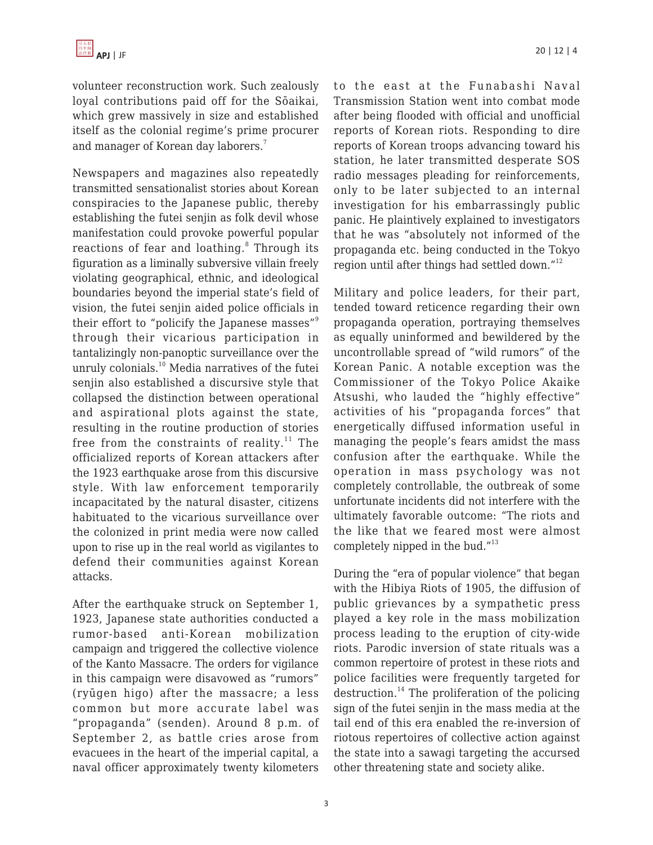volunteer reconstruction work. Such zealously loyal contributions paid off for the Sōaikai, which grew massively in size and established itself as the colonial regime's prime procurer and manager of Korean day laborers.<sup>7</sup>

Newspapers and magazines also repeatedly transmitted sensationalist stories about Korean conspiracies to the Japanese public, thereby establishing the futei senjin as folk devil whose manifestation could provoke powerful popular reactions of fear and loathing.<sup>8</sup> Through its figuration as a liminally subversive villain freely violating geographical, ethnic, and ideological boundaries beyond the imperial state's field of vision, the futei senjin aided police officials in their effort to "policify the Japanese masses"<sup>9</sup> through their vicarious participation in tantalizingly non-panoptic surveillance over the unruly colonials.<sup>10</sup> Media narratives of the futei senjin also established a discursive style that collapsed the distinction between operational and aspirational plots against the state, resulting in the routine production of stories free from the constraints of reality.<sup>11</sup> The officialized reports of Korean attackers after the 1923 earthquake arose from this discursive style. With law enforcement temporarily incapacitated by the natural disaster, citizens habituated to the vicarious surveillance over the colonized in print media were now called upon to rise up in the real world as vigilantes to defend their communities against Korean attacks.

After the earthquake struck on September 1, 1923, Japanese state authorities conducted a rumor-based anti-Korean mobilization campaign and triggered the collective violence of the Kanto Massacre. The orders for vigilance in this campaign were disavowed as "rumors" (ryūgen higo) after the massacre; a less common but more accurate label was "propaganda" (senden). Around 8 p.m. of September 2, as battle cries arose from evacuees in the heart of the imperial capital, a naval officer approximately twenty kilometers to the east at the Funabashi Naval Transmission Station went into combat mode after being flooded with official and unofficial reports of Korean riots. Responding to dire reports of Korean troops advancing toward his station, he later transmitted desperate SOS radio messages pleading for reinforcements, only to be later subjected to an internal investigation for his embarrassingly public panic. He plaintively explained to investigators that he was "absolutely not informed of the propaganda etc. being conducted in the Tokyo region until after things had settled down."<sup>12</sup>

Military and police leaders, for their part, tended toward reticence regarding their own propaganda operation, portraying themselves as equally uninformed and bewildered by the uncontrollable spread of "wild rumors" of the Korean Panic. A notable exception was the Commissioner of the Tokyo Police Akaike Atsushi, who lauded the "highly effective" activities of his "propaganda forces" that energetically diffused information useful in managing the people's fears amidst the mass confusion after the earthquake. While the operation in mass psychology was not completely controllable, the outbreak of some unfortunate incidents did not interfere with the ultimately favorable outcome: "The riots and the like that we feared most were almost completely nipped in the bud."<sup>13</sup>

During the "era of popular violence" that began with the Hibiya Riots of 1905, the diffusion of public grievances by a sympathetic press played a key role in the mass mobilization process leading to the eruption of city-wide riots. Parodic inversion of state rituals was a common repertoire of protest in these riots and police facilities were frequently targeted for destruction.<sup>14</sup> The proliferation of the policing sign of the futei senjin in the mass media at the tail end of this era enabled the re-inversion of riotous repertoires of collective action against the state into a sawagi targeting the accursed other threatening state and society alike.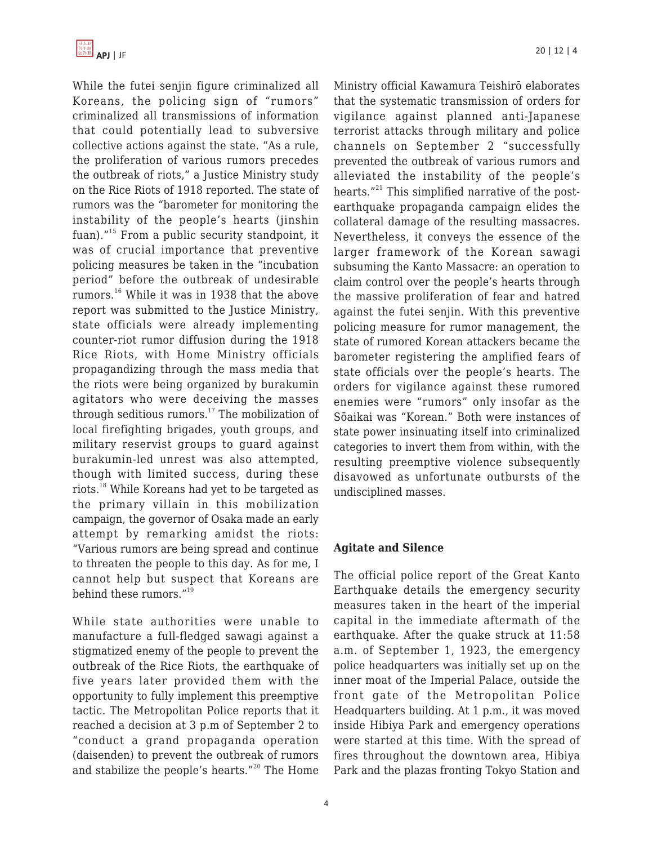While the futei senjin figure criminalized all Koreans, the policing sign of "rumors" criminalized all transmissions of information that could potentially lead to subversive collective actions against the state. "As a rule, the proliferation of various rumors precedes the outbreak of riots," a Justice Ministry study on the Rice Riots of 1918 reported. The state of rumors was the "barometer for monitoring the instability of the people's hearts (jinshin fuan)."<sup>15</sup> From a public security standpoint, it was of crucial importance that preventive policing measures be taken in the "incubation period" before the outbreak of undesirable rumors.<sup>16</sup> While it was in 1938 that the above report was submitted to the Justice Ministry, state officials were already implementing counter-riot rumor diffusion during the 1918 Rice Riots, with Home Ministry officials propagandizing through the mass media that the riots were being organized by burakumin agitators who were deceiving the masses through seditious rumors. $17$  The mobilization of local firefighting brigades, youth groups, and military reservist groups to guard against burakumin-led unrest was also attempted, though with limited success, during these riots.<sup>18</sup> While Koreans had yet to be targeted as the primary villain in this mobilization campaign, the governor of Osaka made an early attempt by remarking amidst the riots: "Various rumors are being spread and continue to threaten the people to this day. As for me, I cannot help but suspect that Koreans are behind these rumors."<sup>19</sup>

While state authorities were unable to manufacture a full-fledged sawagi against a stigmatized enemy of the people to prevent the outbreak of the Rice Riots, the earthquake of five years later provided them with the opportunity to fully implement this preemptive tactic. The Metropolitan Police reports that it reached a decision at 3 p.m of September 2 to "conduct a grand propaganda operation (daisenden) to prevent the outbreak of rumors and stabilize the people's hearts."<sup>20</sup> The Home Ministry official Kawamura Teishirō elaborates that the systematic transmission of orders for vigilance against planned anti-Japanese terrorist attacks through military and police channels on September 2 "successfully prevented the outbreak of various rumors and alleviated the instability of the people's hearts."<sup>21</sup> This simplified narrative of the postearthquake propaganda campaign elides the collateral damage of the resulting massacres. Nevertheless, it conveys the essence of the larger framework of the Korean sawagi subsuming the Kanto Massacre: an operation to claim control over the people's hearts through the massive proliferation of fear and hatred against the futei senjin. With this preventive policing measure for rumor management, the state of rumored Korean attackers became the barometer registering the amplified fears of state officials over the people's hearts. The orders for vigilance against these rumored enemies were "rumors" only insofar as the Sōaikai was "Korean." Both were instances of state power insinuating itself into criminalized categories to invert them from within, with the resulting preemptive violence subsequently disavowed as unfortunate outbursts of the undisciplined masses.

## **Agitate and Silence**

The official police report of the Great Kanto Earthquake details the emergency security measures taken in the heart of the imperial capital in the immediate aftermath of the earthquake. After the quake struck at 11:58 a.m. of September 1, 1923, the emergency police headquarters was initially set up on the inner moat of the Imperial Palace, outside the front gate of the Metropolitan Police Headquarters building. At 1 p.m., it was moved inside Hibiya Park and emergency operations were started at this time. With the spread of fires throughout the downtown area, Hibiya Park and the plazas fronting Tokyo Station and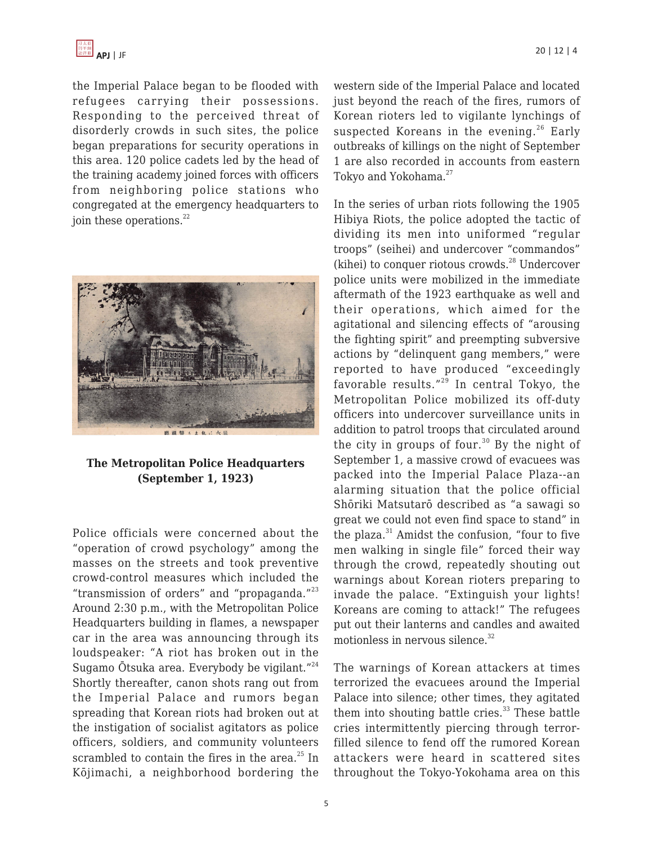

the Imperial Palace began to be flooded with refugees carrying their possessions. Responding to the perceived threat of disorderly crowds in such sites, the police began preparations for security operations in this area. 120 police cadets led by the head of the training academy joined forces with officers from neighboring police stations who congregated at the emergency headquarters to ioin these operations. $^{22}$ 



#### **The Metropolitan Police Headquarters (September 1, 1923)**

Police officials were concerned about the "operation of crowd psychology" among the masses on the streets and took preventive crowd-control measures which included the "transmission of orders" and "propaganda."<sup>23</sup> Around 2:30 p.m., with the Metropolitan Police Headquarters building in flames, a newspaper car in the area was announcing through its loudspeaker: "A riot has broken out in the Sugamo Ōtsuka area. Everybody be vigilant."<sup>24</sup> Shortly thereafter, canon shots rang out from the Imperial Palace and rumors began spreading that Korean riots had broken out at the instigation of socialist agitators as police officers, soldiers, and community volunteers scrambled to contain the fires in the area. $^{25}$  In Kōjimachi, a neighborhood bordering the western side of the Imperial Palace and located just beyond the reach of the fires, rumors of Korean rioters led to vigilante lynchings of suspected Koreans in the evening.<sup>26</sup> Early outbreaks of killings on the night of September 1 are also recorded in accounts from eastern Tokyo and Yokohama.<sup>27</sup>

In the series of urban riots following the 1905 Hibiya Riots, the police adopted the tactic of dividing its men into uniformed "regular troops" (seihei) and undercover "commandos" (kihei) to conquer riotous crowds. $^{28}$  Undercover police units were mobilized in the immediate aftermath of the 1923 earthquake as well and their operations, which aimed for the agitational and silencing effects of "arousing the fighting spirit" and preempting subversive actions by "delinquent gang members," were reported to have produced "exceedingly favorable results."<sup>29</sup> In central Tokyo, the Metropolitan Police mobilized its off-duty officers into undercover surveillance units in addition to patrol troops that circulated around the city in groups of four. $30$  By the night of September 1, a massive crowd of evacuees was packed into the Imperial Palace Plaza--an alarming situation that the police official Shōriki Matsutarō described as "a sawagi so great we could not even find space to stand" in the plaza. $31$  Amidst the confusion, "four to five men walking in single file" forced their way through the crowd, repeatedly shouting out warnings about Korean rioters preparing to invade the palace. "Extinguish your lights! Koreans are coming to attack!" The refugees put out their lanterns and candles and awaited motionless in nervous silence. $32$ 

The warnings of Korean attackers at times terrorized the evacuees around the Imperial Palace into silence; other times, they agitated them into shouting battle cries. $33$  These battle cries intermittently piercing through terrorfilled silence to fend off the rumored Korean attackers were heard in scattered sites throughout the Tokyo-Yokohama area on this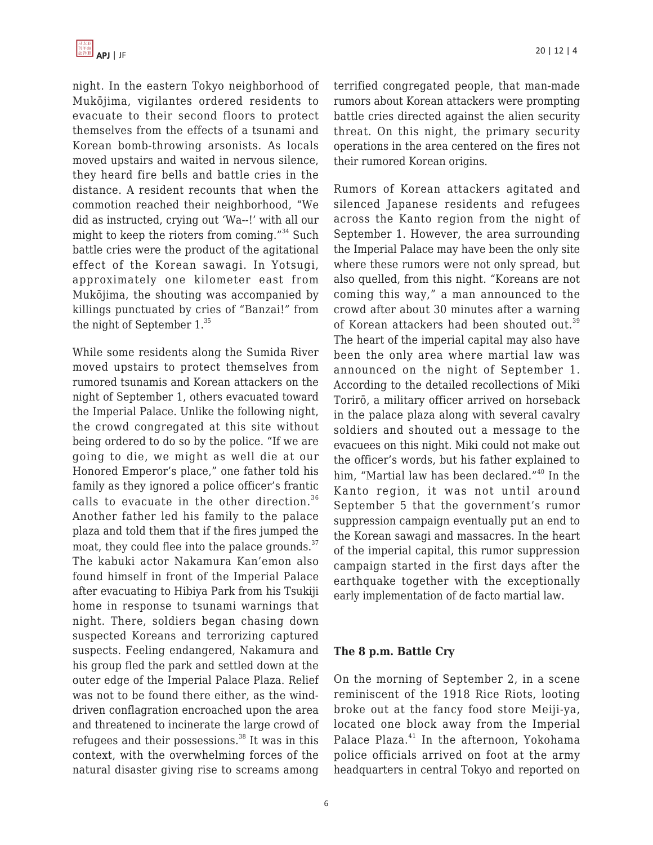night. In the eastern Tokyo neighborhood of Mukōjima, vigilantes ordered residents to evacuate to their second floors to protect themselves from the effects of a tsunami and Korean bomb-throwing arsonists. As locals moved upstairs and waited in nervous silence, they heard fire bells and battle cries in the distance. A resident recounts that when the commotion reached their neighborhood, "We did as instructed, crying out 'Wa--!' with all our might to keep the rioters from coming."<sup>34</sup> Such battle cries were the product of the agitational effect of the Korean sawagi. In Yotsugi, approximately one kilometer east from Mukōjima, the shouting was accompanied by killings punctuated by cries of "Banzai!" from the night of September  $1.^{35}$ 

While some residents along the Sumida River moved upstairs to protect themselves from rumored tsunamis and Korean attackers on the night of September 1, others evacuated toward the Imperial Palace. Unlike the following night, the crowd congregated at this site without being ordered to do so by the police. "If we are going to die, we might as well die at our Honored Emperor's place," one father told his family as they ignored a police officer's frantic calls to evacuate in the other direction.<sup>36</sup> Another father led his family to the palace plaza and told them that if the fires jumped the moat, they could flee into the palace grounds. $37$ The kabuki actor Nakamura Kan'emon also found himself in front of the Imperial Palace after evacuating to Hibiya Park from his Tsukiji home in response to tsunami warnings that night. There, soldiers began chasing down suspected Koreans and terrorizing captured suspects. Feeling endangered, Nakamura and his group fled the park and settled down at the outer edge of the Imperial Palace Plaza. Relief was not to be found there either, as the winddriven conflagration encroached upon the area and threatened to incinerate the large crowd of refugees and their possessions.<sup>38</sup> It was in this context, with the overwhelming forces of the natural disaster giving rise to screams among terrified congregated people, that man-made rumors about Korean attackers were prompting battle cries directed against the alien security threat. On this night, the primary security operations in the area centered on the fires not their rumored Korean origins.

Rumors of Korean attackers agitated and silenced Japanese residents and refugees across the Kanto region from the night of September 1. However, the area surrounding the Imperial Palace may have been the only site where these rumors were not only spread, but also quelled, from this night. "Koreans are not coming this way," a man announced to the crowd after about 30 minutes after a warning of Korean attackers had been shouted out.<sup>39</sup> The heart of the imperial capital may also have been the only area where martial law was announced on the night of September 1. According to the detailed recollections of Miki Torirō, a military officer arrived on horseback in the palace plaza along with several cavalry soldiers and shouted out a message to the evacuees on this night. Miki could not make out the officer's words, but his father explained to him, "Martial law has been declared."<sup>40</sup> In the Kanto region, it was not until around September 5 that the government's rumor suppression campaign eventually put an end to the Korean sawagi and massacres. In the heart of the imperial capital, this rumor suppression campaign started in the first days after the earthquake together with the exceptionally early implementation of de facto martial law.

#### **The 8 p.m. Battle Cry**

On the morning of September 2, in a scene reminiscent of the 1918 Rice Riots, looting broke out at the fancy food store Meiji-ya, located one block away from the Imperial Palace Plaza.<sup>41</sup> In the afternoon, Yokohama police officials arrived on foot at the army headquarters in central Tokyo and reported on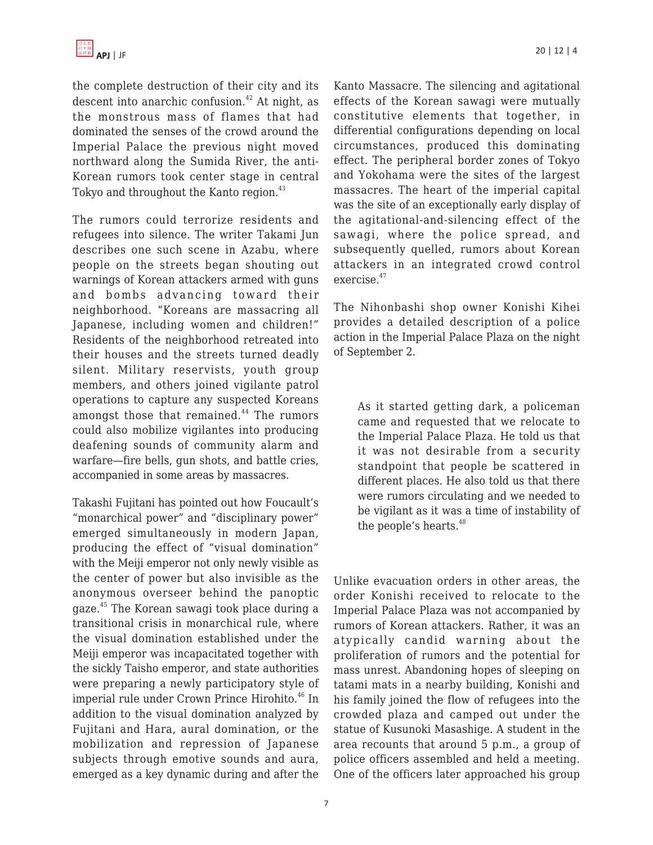the complete destruction of their city and its descent into anarchic confusion.<sup>42</sup> At night, as the monstrous mass of flames that had dominated the senses of the crowd around the Imperial Palace the previous night moved northward along the Sumida River, the anti-Korean rumors took center stage in central Tokyo and throughout the Kanto region.<sup>43</sup>

The rumors could terrorize residents and refugees into silence. The writer Takami Jun describes one such scene in Azabu, where people on the streets began shouting out warnings of Korean attackers armed with guns and bombs advancing toward their neighborhood. "Koreans are massacring all Japanese, including women and children!" Residents of the neighborhood retreated into their houses and the streets turned deadly silent. Military reservists, youth group members, and others joined vigilante patrol operations to capture any suspected Koreans amongst those that remained.<sup>44</sup> The rumors could also mobilize vigilantes into producing deafening sounds of community alarm and warfare—fire bells, gun shots, and battle cries, accompanied in some areas by massacres.

Takashi Fujitani has pointed out how Foucault's "monarchical power" and "disciplinary power" emerged simultaneously in modern Japan, producing the effect of "visual domination" with the Meiji emperor not only newly visible as the center of power but also invisible as the anonymous overseer behind the panoptic gaze.<sup>45</sup> The Korean sawagi took place during a transitional crisis in monarchical rule, where the visual domination established under the Meiji emperor was incapacitated together with the sickly Taisho emperor, and state authorities were preparing a newly participatory style of imperial rule under Crown Prince Hirohito.<sup>46</sup> In addition to the visual domination analyzed by Fujitani and Hara, aural domination, or the mobilization and repression of Japanese subjects through emotive sounds and aura, emerged as a key dynamic during and after the Kanto Massacre. The silencing and agitational effects of the Korean sawagi were mutually constitutive elements that together, in differential configurations depending on local circumstances, produced this dominating effect. The peripheral border zones of Tokyo and Yokohama were the sites of the largest massacres. The heart of the imperial capital was the site of an exceptionally early display of the agitational-and-silencing effect of the sawagi, where the police spread, and subsequently quelled, rumors about Korean attackers in an integrated crowd control exercise.<sup>47</sup>

The Nihonbashi shop owner Konishi Kihei provides a detailed description of a police action in the Imperial Palace Plaza on the night of September 2.

As it started getting dark, a policeman came and requested that we relocate to the Imperial Palace Plaza. He told us that it was not desirable from a security standpoint that people be scattered in different places. He also told us that there were rumors circulating and we needed to be vigilant as it was a time of instability of the people's hearts.<sup>48</sup>

Unlike evacuation orders in other areas, the order Konishi received to relocate to the Imperial Palace Plaza was not accompanied by rumors of Korean attackers. Rather, it was an atypically candid warning about the proliferation of rumors and the potential for mass unrest. Abandoning hopes of sleeping on tatami mats in a nearby building, Konishi and his family joined the flow of refugees into the crowded plaza and camped out under the statue of Kusunoki Masashige. A student in the area recounts that around 5 p.m., a group of police officers assembled and held a meeting. One of the officers later approached his group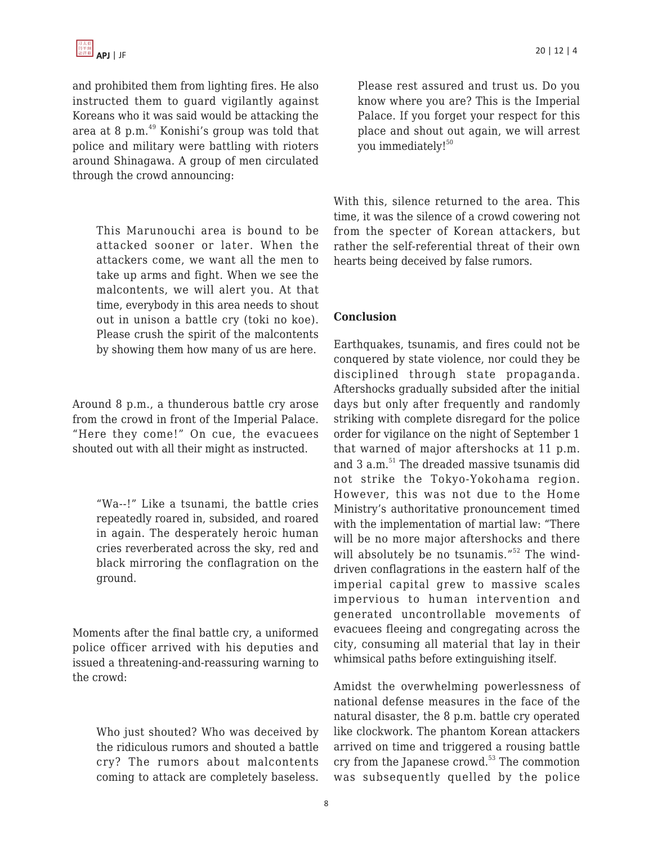and prohibited them from lighting fires. He also instructed them to guard vigilantly against Koreans who it was said would be attacking the area at 8 p.m. $^{49}$  Konishi's group was told that police and military were battling with rioters around Shinagawa. A group of men circulated through the crowd announcing:

This Marunouchi area is bound to be attacked sooner or later. When the attackers come, we want all the men to take up arms and fight. When we see the malcontents, we will alert you. At that time, everybody in this area needs to shout out in unison a battle cry (toki no koe). Please crush the spirit of the malcontents by showing them how many of us are here.

Around 8 p.m., a thunderous battle cry arose from the crowd in front of the Imperial Palace. "Here they come!" On cue, the evacuees shouted out with all their might as instructed.

"Wa--!" Like a tsunami, the battle cries repeatedly roared in, subsided, and roared in again. The desperately heroic human cries reverberated across the sky, red and black mirroring the conflagration on the ground.

Moments after the final battle cry, a uniformed police officer arrived with his deputies and issued a threatening-and-reassuring warning to the crowd:

Who just shouted? Who was deceived by the ridiculous rumors and shouted a battle cry? The rumors about malcontents coming to attack are completely baseless.

Please rest assured and trust us. Do you know where you are? This is the Imperial Palace. If you forget your respect for this place and shout out again, we will arrest you immediately!<sup>50</sup>

With this, silence returned to the area. This time, it was the silence of a crowd cowering not from the specter of Korean attackers, but rather the self-referential threat of their own hearts being deceived by false rumors.

### **Conclusion**

Earthquakes, tsunamis, and fires could not be conquered by state violence, nor could they be disciplined through state propaganda. Aftershocks gradually subsided after the initial days but only after frequently and randomly striking with complete disregard for the police order for vigilance on the night of September 1 that warned of major aftershocks at 11 p.m. and 3 a.m.<sup>51</sup> The dreaded massive tsunamis did not strike the Tokyo-Yokohama region. However, this was not due to the Home Ministry's authoritative pronouncement timed with the implementation of martial law: "There will be no more major aftershocks and there will absolutely be no tsunamis."<sup>52</sup> The winddriven conflagrations in the eastern half of the imperial capital grew to massive scales impervious to human intervention and generated uncontrollable movements of evacuees fleeing and congregating across the city, consuming all material that lay in their whimsical paths before extinguishing itself.

Amidst the overwhelming powerlessness of national defense measures in the face of the natural disaster, the 8 p.m. battle cry operated like clockwork. The phantom Korean attackers arrived on time and triggered a rousing battle cry from the Japanese crowd. $53$  The commotion was subsequently quelled by the police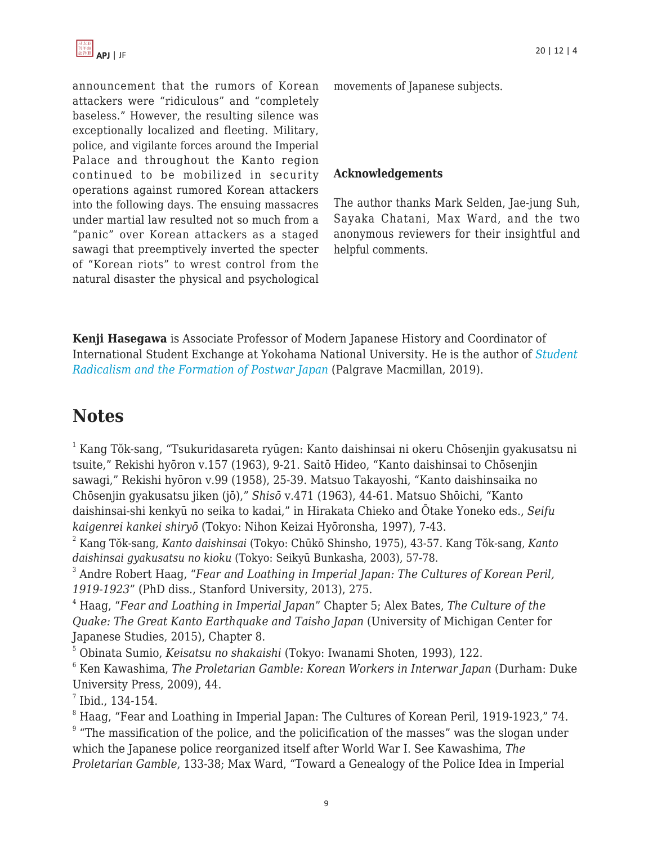announcement that the rumors of Korean attackers were "ridiculous" and "completely baseless." However, the resulting silence was exceptionally localized and fleeting. Military, police, and vigilante forces around the Imperial Palace and throughout the Kanto region continued to be mobilized in security operations against rumored Korean attackers into the following days. The ensuing massacres under martial law resulted not so much from a "panic" over Korean attackers as a staged sawagi that preemptively inverted the specter of "Korean riots" to wrest control from the natural disaster the physical and psychological

movements of Japanese subjects.

#### **Acknowledgements**

The author thanks Mark Selden, Jae-jung Suh, Sayaka Chatani, Max Ward, and the two anonymous reviewers for their insightful and helpful comments.

**Kenji Hasegawa** is Associate Professor of Modern Japanese History and Coordinator of International Student Exchange at Yokohama National University. He is the author of *[Student](https://www.amazon.com/Student-Radicalism-Formation-Postwar-Directions/dp/9811317763/?tag=theasipacjo0b-20) [Radicalism and the Formation of Postwar Japan](https://www.amazon.com/Student-Radicalism-Formation-Postwar-Directions/dp/9811317763/?tag=theasipacjo0b-20)* (Palgrave Macmillan, 2019).

# **Notes**

<sup>1</sup> Kang Tŏk-sang, "Tsukuridasareta ryūgen: Kanto daishinsai ni okeru Chōsenjin gyakusatsu ni tsuite," Rekishi hyōron v.157 (1963), 9-21. Saitō Hideo, "Kanto daishinsai to Chōsenjin sawagi," Rekishi hyōron v.99 (1958), 25-39. Matsuo Takayoshi, "Kanto daishinsaika no Chōsenjin gyakusatsu jiken (jō)," *Shisō* v.471 (1963), 44-61. Matsuo Shōichi, "Kanto daishinsai-shi kenkyū no seika to kadai," in Hirakata Chieko and Ōtake Yoneko eds., *Seifu kaigenrei kankei shiryō* (Tokyo: Nihon Keizai Hyōronsha, 1997), 7-43.

2 Kang Tŏk-sang, *Kanto daishinsai* (Tokyo: Chūkō Shinsho, 1975), 43-57. Kang Tŏk-sang, *Kanto daishinsai gyakusatsu no kioku* (Tokyo: Seikyū Bunkasha, 2003), 57-78.

3 Andre Robert Haag, "*Fear and Loathing in Imperial Japan: The Cultures of Korean Peril, 1919-1923*" (PhD diss., Stanford University, 2013), 275.

<sup>4</sup> Haag, "*Fear and Loathing in Imperial Japan*" Chapter 5; Alex Bates, *The Culture of the Quake: The Great Kanto Earthquake and Taisho Japan* (University of Michigan Center for Japanese Studies, 2015), Chapter 8.

<sup>5</sup> Obinata Sumio, *Keisatsu no shakaishi* (Tokyo: Iwanami Shoten, 1993), 122.

<sup>6</sup> Ken Kawashima, *The Proletarian Gamble: Korean Workers in Interwar Japan* (Durham: Duke University Press, 2009), 44.

 $^7$  Ibid., 134-154.

<sup>8</sup> Haag, "Fear and Loathing in Imperial Japan: The Cultures of Korean Peril, 1919-1923*,*" 74.  $9$  "The massification of the police, and the policification of the masses" was the slogan under which the Japanese police reorganized itself after World War I. See Kawashima, *The Proletarian Gamble*, 133-38; Max Ward, "Toward a Genealogy of the Police Idea in Imperial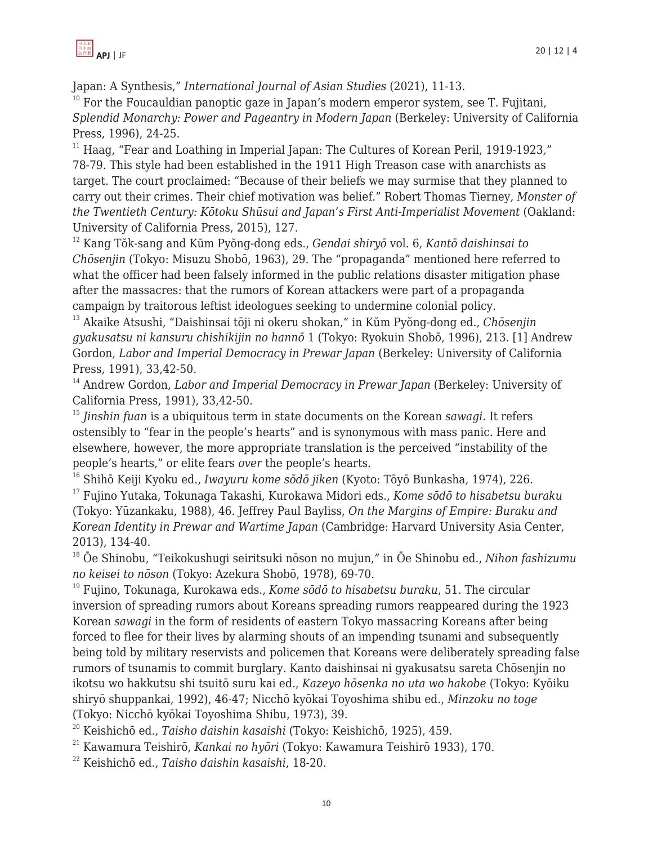Japan: A Synthesis," *International Journal of Asian Studies* (2021), 11-13.

 $10$  For the Foucauldian panoptic gaze in Japan's modern emperor system, see T. Fujitani, *Splendid Monarchy: Power and Pageantry in Modern Japan* (Berkeley: University of California Press, 1996), 24-25.

<sup>11</sup> Haag, "Fear and Loathing in Imperial Japan: The Cultures of Korean Peril, 1919-1923*,*" 78-79. This style had been established in the 1911 High Treason case with anarchists as target. The court proclaimed: "Because of their beliefs we may surmise that they planned to carry out their crimes. Their chief motivation was belief." Robert Thomas Tierney, *Monster of the Twentieth Century: Kōtoku Shūsui and Japan's First Anti-Imperialist Movement* (Oakland: University of California Press, 2015), 127.

<sup>12</sup> Kang Tŏk-sang and Kŭm Pyŏng-dong eds., *Gendai shiryō* vol. 6, *Kantō daishinsai to Chōsenjin* (Tokyo: Misuzu Shobō, 1963), 29. The "propaganda" mentioned here referred to what the officer had been falsely informed in the public relations disaster mitigation phase after the massacres: that the rumors of Korean attackers were part of a propaganda campaign by traitorous leftist ideologues seeking to undermine colonial policy.

<sup>13</sup> Akaike Atsushi, "Daishinsai tōji ni okeru shokan," in Kŭm Pyŏng-dong ed., *Chōsenjin gyakusatsu ni kansuru chishikijin no hannō* 1 (Tokyo: Ryokuin Shobō, 1996), 213. [1] Andrew Gordon, *Labor and Imperial Democracy in Prewar Japan* (Berkeley: University of California Press, 1991), 33,42-50.

<sup>14</sup> Andrew Gordon, *Labor and Imperial Democracy in Prewar Japan* (Berkeley: University of California Press, 1991), 33,42-50.

<sup>15</sup> *Jinshin fuan* is a ubiquitous term in state documents on the Korean *sawagi.* It refers ostensibly to "fear in the people's hearts" and is synonymous with mass panic. Here and elsewhere, however, the more appropriate translation is the perceived "instability of the people's hearts," or elite fears *over* the people's hearts.

<sup>16</sup> Shihō Keiji Kyoku ed., *Iwayuru kome sōdō jiken* (Kyoto: Tōyō Bunkasha, 1974), 226.

<sup>17</sup> Fujino Yutaka, Tokunaga Takashi, Kurokawa Midori eds., *Kome sōdō to hisabetsu buraku* (Tokyo: Yūzankaku, 1988), 46. Jeffrey Paul Bayliss, *On the Margins of Empire: Buraku and Korean Identity in Prewar and Wartime Japan* (Cambridge: Harvard University Asia Center, 2013), 134-40.

<sup>18</sup> Ōe Shinobu, "Teikokushugi seiritsuki nōson no mujun," in Ōe Shinobu ed., *Nihon fashizumu no keisei to nōson* (Tokyo: Azekura Shobō, 1978), 69-70.

<sup>19</sup> Fujino, Tokunaga, Kurokawa eds., *Kome sōdō to hisabetsu buraku*, 51. The circular inversion of spreading rumors about Koreans spreading rumors reappeared during the 1923 Korean *sawagi* in the form of residents of eastern Tokyo massacring Koreans after being forced to flee for their lives by alarming shouts of an impending tsunami and subsequently being told by military reservists and policemen that Koreans were deliberately spreading false rumors of tsunamis to commit burglary. Kanto daishinsai ni gyakusatsu sareta Chōsenjin no ikotsu wo hakkutsu shi tsuitō suru kai ed., *Kazeyo hōsenka no uta wo hakobe* (Tokyo: Kyōiku shiryō shuppankai, 1992), 46-47; Nicchō kyōkai Toyoshima shibu ed., *Minzoku no toge* (Tokyo: Nicchō kyōkai Toyoshima Shibu, 1973), 39.

<sup>20</sup> Keishichō ed., *Taisho daishin kasaishi* (Tokyo: Keishichō, 1925), 459.

<sup>21</sup> Kawamura Teishirō, *Kankai no hyōri* (Tokyo: Kawamura Teishirō 1933), 170.

<sup>22</sup> Keishichō ed., *Taisho daishin kasaishi*, 18-20.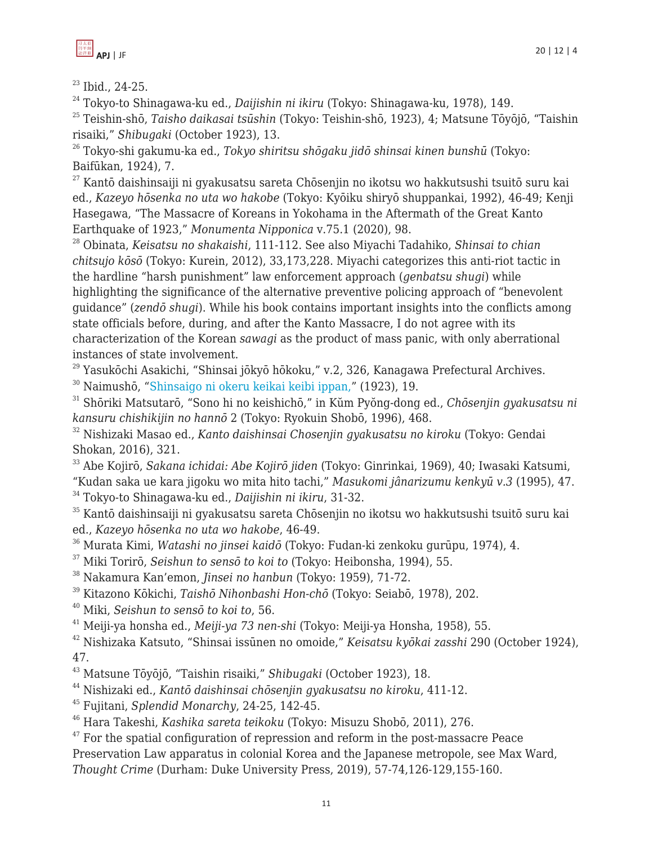

<sup>23</sup> Ibid., 24-25.

<sup>24</sup> Tokyo-to Shinagawa-ku ed., *Daijishin ni ikiru* (Tokyo: Shinagawa-ku, 1978), 149.

<sup>25</sup> Teishin-shō, *Taisho daikasai tsūshin* (Tokyo: Teishin-shō, 1923), 4; Matsune Tōyōjō, "Taishin risaiki," *Shibugaki* (October 1923), 13.

<sup>26</sup> Tokyo-shi gakumu-ka ed., *Tokyo shiritsu shōgaku jidō shinsai kinen bunshū* (Tokyo: Baifūkan, 1924), 7.

 $^{27}$  Kantō daishinsaiji ni gyakusatsu sareta Chōsenjin no ikotsu wo hakkutsushi tsuitō suru kai ed., *Kazeyo hōsenka no uta wo hakobe* (Tokyo: Kyōiku shiryō shuppankai, 1992), 46-49; Kenji Hasegawa, "The Massacre of Koreans in Yokohama in the Aftermath of the Great Kanto Earthquake of 1923," *Monumenta Nipponica* v.75.1 (2020), 98.

<sup>28</sup> Obinata, *Keisatsu no shakaishi*, 111-112. See also Miyachi Tadahiko, *Shinsai to chian chitsujo kōsō* (Tokyo: Kurein, 2012), 33,173,228. Miyachi categorizes this anti-riot tactic in the hardline "harsh punishment" law enforcement approach (*genbatsu shugi*) while highlighting the significance of the alternative preventive policing approach of "benevolent guidance" (*zendō shugi*). While his book contains important insights into the conflicts among state officials before, during, and after the Kanto Massacre, I do not agree with its characterization of the Korean *sawagi* as the product of mass panic, with only aberrational instances of state involvement.

<sup>29</sup> Yasukōchi Asakichi, "Shinsai jōkyō hōkoku," v.2, 326, Kanagawa Prefectural Archives.

<sup>30</sup> Naimushō, ["Shinsaigo ni okeru keikai keibi ippan,"](https://www.timr.or.jp/degitalarchives_kantodaishinsai/OAZ-1125/OAZ-1125_016.html) (1923), 19.

<sup>31</sup> Shōriki Matsutarō, "Sono hi no keishichō," in Kŭm Pyŏng-dong ed., *Chōsenjin gyakusatsu ni kansuru chishikijin no hannō* 2 (Tokyo: Ryokuin Shobō, 1996), 468.

<sup>32</sup> Nishizaki Masao ed., *Kanto daishinsai Chosenjin gyakusatsu no kiroku* (Tokyo: Gendai Shokan, 2016), 321.

<sup>33</sup> Abe Kojirō, *Sakana ichidai: Abe Kojirō jiden* (Tokyo: Ginrinkai, 1969), 40; Iwasaki Katsumi, "Kudan saka ue kara jigoku wo mita hito tachi," *Masukomi jânarizumu kenkyū v.3* (1995), 47.

<sup>34</sup> Tokyo-to Shinagawa-ku ed., *Daijishin ni ikiru*, 31-32.

<sup>35</sup> Kantō daishinsaiji ni gyakusatsu sareta Chōsenjin no ikotsu wo hakkutsushi tsuitō suru kai ed., *Kazeyo hōsenka no uta wo hakobe*, 46-49.

- <sup>36</sup> Murata Kimi, *Watashi no jinsei kaidō* (Tokyo: Fudan-ki zenkoku gurūpu, 1974), 4.
- <sup>37</sup> Miki Torirō, *Seishun to sensō to koi to* (Tokyo: Heibonsha, 1994), 55.
- <sup>38</sup> Nakamura Kan'emon, *Jinsei no hanbun* (Tokyo: 1959), 71-72.
- <sup>39</sup> Kitazono Kōkichi, *Taishō Nihonbashi Hon-chō* (Tokyo: Seiabō, 1978), 202.

<sup>40</sup> Miki, *Seishun to sensō to koi to*, 56.

<sup>41</sup> Meiji-ya honsha ed., *Meiji-ya 73 nen-shi* (Tokyo: Meiji-ya Honsha, 1958), 55.

<sup>42</sup> Nishizaka Katsuto, "Shinsai issūnen no omoide," *Keisatsu kyōkai zasshi* 290 (October 1924), 47.

<sup>43</sup> Matsune Tōyōjō, "Taishin risaiki," *Shibugaki* (October 1923), 18.

<sup>44</sup> Nishizaki ed., *Kantō daishinsai chōsenjin gyakusatsu no kiroku*, 411-12.

<sup>45</sup> Fujitani, *Splendid Monarchy*, 24-25, 142-45.

<sup>46</sup> Hara Takeshi, *Kashika sareta teikoku* (Tokyo: Misuzu Shobō, 2011), 276.

 $47$  For the spatial configuration of repression and reform in the post-massacre Peace Preservation Law apparatus in colonial Korea and the Japanese metropole, see Max Ward, *Thought Crime* (Durham: Duke University Press, 2019), 57-74,126-129,155-160.